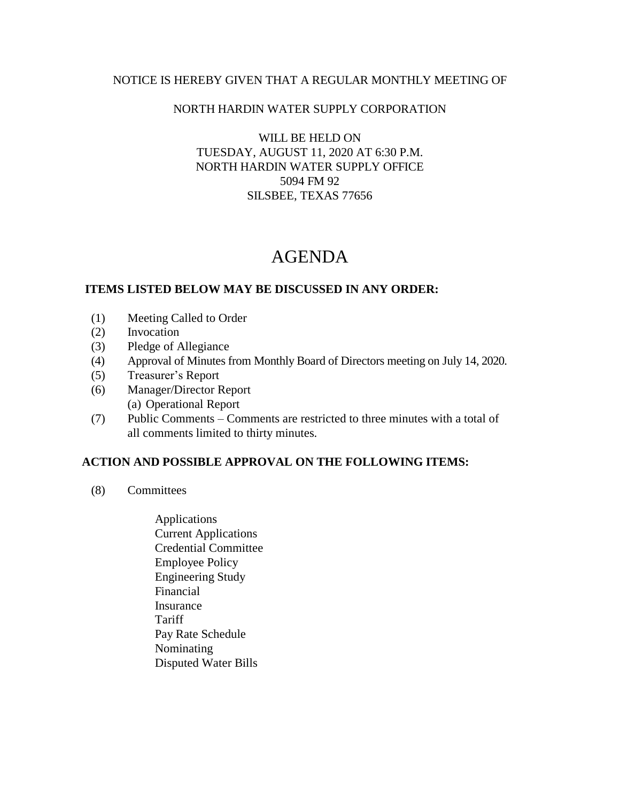#### NOTICE IS HEREBY GIVEN THAT A REGULAR MONTHLY MEETING OF

### NORTH HARDIN WATER SUPPLY CORPORATION

WILL BE HELD ON TUESDAY, AUGUST 11, 2020 AT 6:30 P.M. NORTH HARDIN WATER SUPPLY OFFICE 5094 FM 92 SILSBEE, TEXAS 77656

# AGENDA

### **ITEMS LISTED BELOW MAY BE DISCUSSED IN ANY ORDER:**

- (1) Meeting Called to Order
- (2) Invocation
- (3) Pledge of Allegiance
- (4) Approval of Minutes from Monthly Board of Directors meeting on July 14, 2020.
- (5) Treasurer's Report
- (6) Manager/Director Report (a) Operational Report
- (7) Public Comments Comments are restricted to three minutes with a total of all comments limited to thirty minutes.

## **ACTION AND POSSIBLE APPROVAL ON THE FOLLOWING ITEMS:**

- (8) Committees
	- Applications Current Applications Credential Committee Employee Policy Engineering Study Financial Insurance **Tariff**  Pay Rate Schedule Nominating Disputed Water Bills